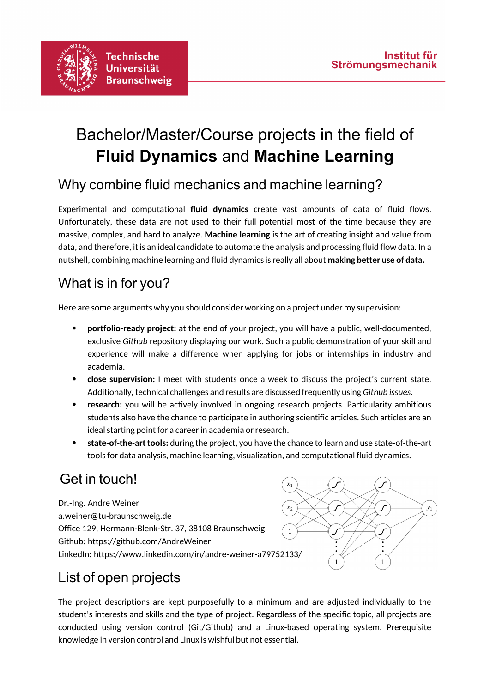

# Bachelor/Master/Course projects in the field of **Fluid Dynamics** and **Machine Learning**

### Why combine fluid mechanics and machine learning?

Experimental and computational **fluid dynamics** create vast amounts of data of fluid flows. Unfortunately, these data are not used to their full potential most of the time because they are massive, complex, and hard to analyze. **Machine learning** is the art of creating insight and value from data, and therefore, it is an ideal candidate to automate the analysis and processing fluid flow data. In a nutshell, combining machine learning and fluid dynamics is really all about **making better use of data.**

### What is in for you?

Here are some arguments why you should consider working on a project under my supervision:

- **portfolio-ready project:** at the end of your project, you will have a public, well-documented, exclusive *Github* repository displaying our work. Such a public demonstration of your skill and experience will make a difference when applying for jobs or internships in industry and academia.
- **close supervision:** I meet with students once a week to discuss the project's current state. Additionally, technical challenges and results are discussed frequently using *Github issues.*
- **research:** you will be actively involved in ongoing research projects. Particularity ambitious students also have the chance to participate in authoring scientific articles. Such articles are an ideal starting point for a career in academia or research.
- **state-of-the-art tools:** during the project, you have the chance to learn and use state-of-the-art tools for data analysis, machine learning, visualization, and computational fluid dynamics.

### Get in touch!

Dr.-Ing. Andre Weiner  $x_{2}$ a.weiner@tu-braunschweig.de Office 129, Hermann-Blenk-Str. 37, 38108 Braunschweig  $\overline{1}$ Github: https://github.com/AndreWeiner LinkedIn: https://www.linkedin.com/in/andre-weiner-a79752133/



## List of open projects

The project descriptions are kept purposefully to a minimum and are adjusted individually to the student's interests and skills and the type of project. Regardless of the specific topic, all projects are conducted using version control (Git/Github) and a Linux-based operating system. Prerequisite knowledge in version control and Linux is wishful but not essential.